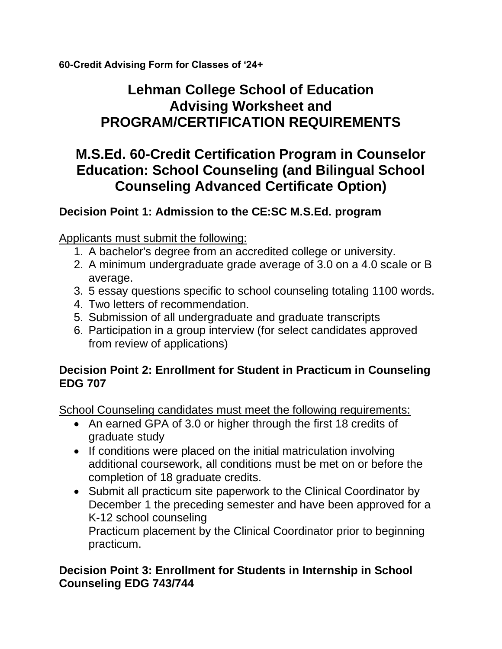**60-Credit Advising Form for Classes of '24+**

# **Lehman College School of Education Advising Worksheet and PROGRAM/CERTIFICATION REQUIREMENTS**

# **M.S.Ed. 60-Credit Certification Program in Counselor Education: School Counseling (and Bilingual School Counseling Advanced Certificate Option)**

## **Decision Point 1: Admission to the CE:SC M.S.Ed. program**

Applicants must submit the following:

- 1. A bachelor's degree from an accredited college or university.
- 2. A minimum undergraduate grade average of 3.0 on a 4.0 scale or B average.
- 3. 5 essay questions specific to school counseling totaling 1100 words.
- 4. Two letters of recommendation.
- 5. Submission of all undergraduate and graduate transcripts
- 6. Participation in a group interview (for select candidates approved from review of applications)

### **Decision Point 2: Enrollment for Student in Practicum in Counseling EDG 707**

School Counseling candidates must meet the following requirements:

- An earned GPA of 3.0 or higher through the first 18 credits of graduate study
- If conditions were placed on the initial matriculation involving additional coursework, all conditions must be met on or before the completion of 18 graduate credits.
- Submit all practicum site paperwork to the Clinical Coordinator by December 1 the preceding semester and have been approved for a K-12 school counseling Practicum placement by the Clinical Coordinator prior to beginning practicum.

## **Decision Point 3: Enrollment for Students in Internship in School Counseling EDG 743/744**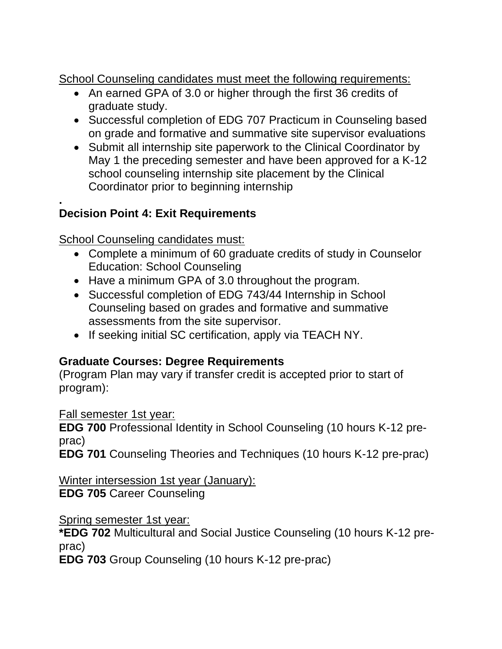School Counseling candidates must meet the following requirements:

- An earned GPA of 3.0 or higher through the first 36 credits of graduate study.
- Successful completion of EDG 707 Practicum in Counseling based on grade and formative and summative site supervisor evaluations
- Submit all internship site paperwork to the Clinical Coordinator by May 1 the preceding semester and have been approved for a K-12 school counseling internship site placement by the Clinical Coordinator prior to beginning internship

#### **. Decision Point 4: Exit Requirements**

School Counseling candidates must:

- Complete a minimum of 60 graduate credits of study in Counselor Education: School Counseling
- Have a minimum GPA of 3.0 throughout the program.
- Successful completion of EDG 743/44 Internship in School Counseling based on grades and formative and summative assessments from the site supervisor.
- If seeking initial SC certification, apply via TEACH NY.

## **Graduate Courses: Degree Requirements**

(Program Plan may vary if transfer credit is accepted prior to start of program):

Fall semester 1st year:

**EDG 700** Professional Identity in School Counseling (10 hours K-12 preprac)

**EDG 701** Counseling Theories and Techniques (10 hours K-12 pre-prac)

Winter intersession 1st year (January): **EDG 705** Career Counseling

Spring semester 1st year:

**\*EDG 702** Multicultural and Social Justice Counseling (10 hours K-12 preprac)

**EDG 703** Group Counseling (10 hours K-12 pre-prac)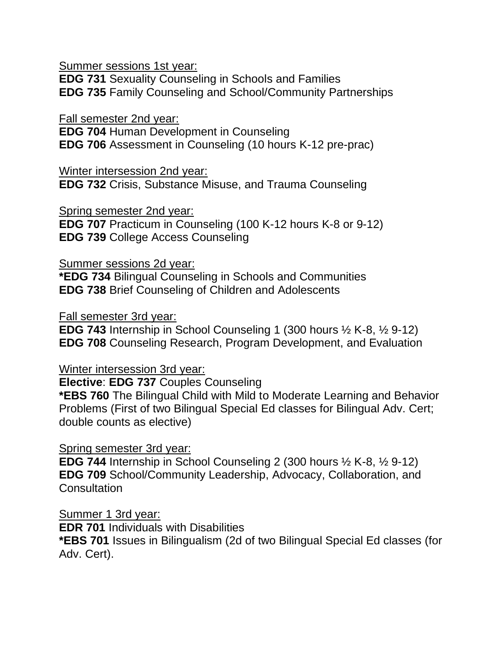Summer sessions 1st year:

**EDG 731** Sexuality Counseling in Schools and Families **EDG 735** Family Counseling and School/Community Partnerships

Fall semester 2nd year:

**EDG 704** Human Development in Counseling **EDG 706** Assessment in Counseling (10 hours K-12 pre-prac)

Winter intersession 2nd year: **EDG 732** Crisis, Substance Misuse, and Trauma Counseling

Spring semester 2nd year:

**EDG 707** Practicum in Counseling (100 K-12 hours K-8 or 9-12) **EDG 739** College Access Counseling

Summer sessions 2d year:

**\*EDG 734** Bilingual Counseling in Schools and Communities **EDG 738** Brief Counseling of Children and Adolescents

Fall semester 3rd year:

**EDG 743** Internship in School Counseling 1 (300 hours ½ K-8, ½ 9-12) **EDG 708** Counseling Research, Program Development, and Evaluation

Winter intersession 3rd year:

**Elective**: **EDG 737** Couples Counseling

**\*EBS 760** The Bilingual Child with Mild to Moderate Learning and Behavior Problems (First of two Bilingual Special Ed classes for Bilingual Adv. Cert; double counts as elective)

Spring semester 3rd year:

**EDG 744** Internship in School Counseling 2 (300 hours ½ K-8, ½ 9-12) **EDG 709** School/Community Leadership, Advocacy, Collaboration, and **Consultation** 

Summer 1 3rd year:

**EDR 701** Individuals with Disabilities **\*EBS 701** Issues in Bilingualism (2d of two Bilingual Special Ed classes (for Adv. Cert).